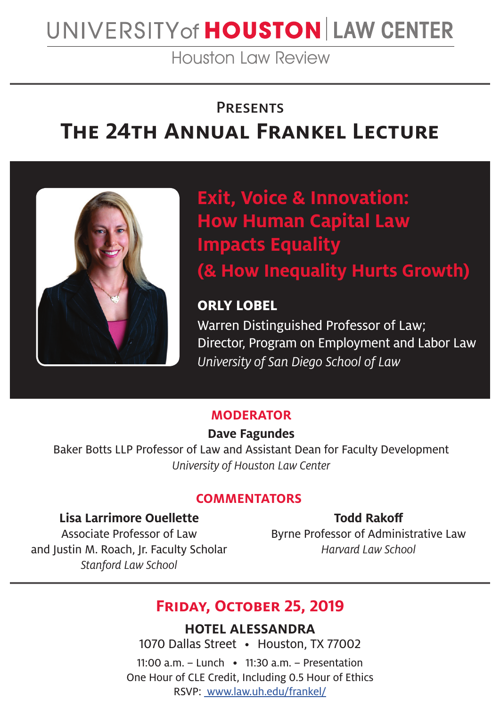# UNIVERSITY of HOUSTON LAW CENTER

Houston Law Review

### **PRESENTS**

# **The 24th Annual Frankel Lecture**



**Exit, Voice & Innovation: How Human Capital Law Impacts Equality (& How Inequality Hurts Growth)**

# **ORLY LOBEL**

Warren Distinguished Professor of Law; Director, Program on Employment and Labor Law University of San Diego School of Law

#### **MODERATOR**

#### **Dave Fagundes**

Baker Botts LLP Professor of Law and Assistant Dean for Faculty Development University of Houston Law Center

#### **COMMENTATORS**

#### **Lisa Larrimore Ouellette**

**Todd Rakoff**

Associate Professor of Law and Justin M. Roach, Jr. Faculty Scholar Stanford Law School

## Byrne Professor of Administrative Law Harvard Law School

# **Friday, October 25, 2019**

**HOTEL ALESSANDRA** 1070 Dallas Street • Houston, TX 77002

11:00 a.m. – Lunch • 11:30 a.m. – Presentation One Hour of CLE Credit, Including 0.5 Hour of Ethics RSVP: www.law.uh.edu/frankel/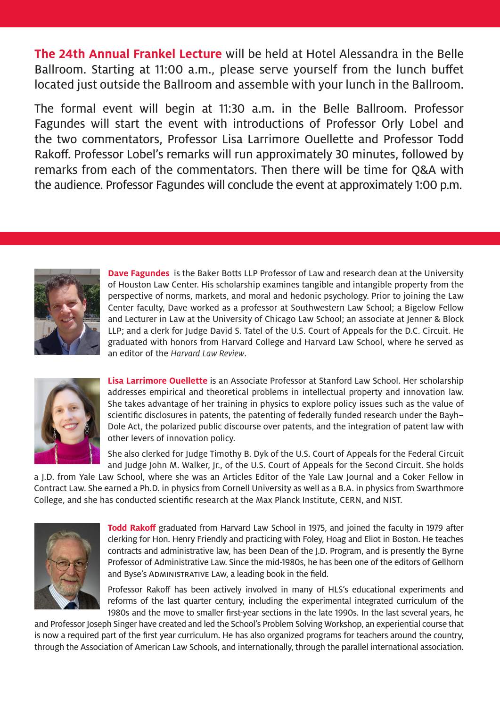**The 24th Annual Frankel Lecture** will be held at Hotel Alessandra in the Belle Ballroom. Starting at 11:00 a.m., please serve yourself from the lunch buffet located just outside the Ballroom and assemble with your lunch in the Ballroom.

The formal event will begin at 11:30 a.m. in the Belle Ballroom. Professor Fagundes will start the event with introductions of Professor Orly Lobel and the two commentators, Professor Lisa Larrimore Ouellette and Professor Todd Rakoff. Professor Lobel's remarks will run approximately 30 minutes, followed by remarks from each of the commentators. Then there will be time for Q&A with the audience. Professor Fagundes will conclude the event at approximately 1:00 p.m.



**Dave Fagundes** is the Baker Botts LLP Professor of Law and research dean at the University of Houston Law Center. His scholarship examines tangible and intangible property from the perspective of norms, markets, and moral and hedonic psychology. Prior to joining the Law Center faculty, Dave worked as a professor at Southwestern Law School; a Bigelow Fellow and Lecturer in Law at the University of Chicago Law School; an associate at Jenner & Block LLP; and a clerk for Judge David S. Tatel of the U.S. Court of Appeals for the D.C. Circuit. He graduated with honors from Harvard College and Harvard Law School, where he served as an editor of the *Harvard Law Review*.



**Lisa Larrimore Ouellette** is an Associate Professor at Stanford Law School. Her scholarship addresses empirical and theoretical problems in intellectual property and innovation law. She takes advantage of her training in physics to explore policy issues such as the value of scientific disclosures in patents, the patenting of federally funded research under the Bayh– Dole Act, the polarized public discourse over patents, and the integration of patent law with other levers of innovation policy.

She also clerked for Judge Timothy B. Dyk of the U.S. Court of Appeals for the Federal Circuit and Judge John M. Walker, Jr., of the U.S. Court of Appeals for the Second Circuit. She holds

a J.D. from Yale Law School, where she was an Articles Editor of the Yale Law Journal and a Coker Fellow in Contract Law. She earned a Ph.D. in physics from Cornell University as well as a B.A. in physics from Swarthmore College, and she has conducted scientific research at the Max Planck Institute, CERN, and NIST.



**Todd Rakoff** graduated from Harvard Law School in 1975, and joined the faculty in 1979 after clerking for Hon. Henry Friendly and practicing with Foley, Hoag and Eliot in Boston. He teaches contracts and administrative law, has been Dean of the J.D. Program, and is presently the Byrne Professor of Administrative Law. Since the mid-1980s, he has been one of the editors of Gellhorn and Byse's ADMINISTRATIVE LAW, a leading book in the field.

Professor Rakoff has been actively involved in many of HLS's educational experiments and reforms of the last quarter century, including the experimental integrated curriculum of the 1980s and the move to smaller first-year sections in the late 1990s. In the last several years, he

and Professor Joseph Singer have created and led the School's Problem Solving Workshop, an experiential course that is now a required part of the first year curriculum. He has also organized programs for teachers around the country, through the Association of American Law Schools, and internationally, through the parallel international association.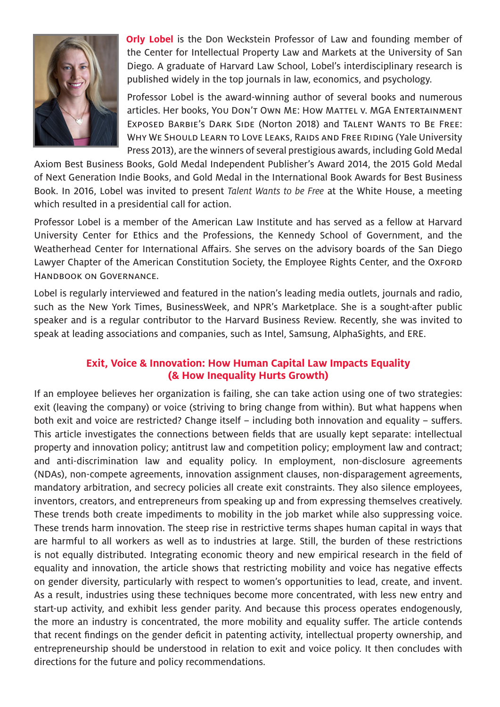

**Orly Lobel** is the Don Weckstein Professor of Law and founding member of the Center for Intellectual Property Law and Markets at the University of San Diego. A graduate of Harvard Law School, Lobel's interdisciplinary research is published widely in the top journals in law, economics, and psychology.

Professor Lobel is the award-winning author of several books and numerous articles. Her books, You Don't Own Me: How Mattel v. MGA Entertainment Exposed Barbie's Dark Side (Norton 2018) and Talent Wants to Be Free: Why We Should Learn to Love Leaks, Raids and Free Riding (Yale University Press 2013), are the winners of several prestigious awards, including Gold Medal

Axiom Best Business Books, Gold Medal Independent Publisher's Award 2014, the 2015 Gold Medal of Next Generation Indie Books, and Gold Medal in the International Book Awards for Best Business Book. In 2016, Lobel was invited to present *Talent Wants to be Free* at the White House, a meeting which resulted in a presidential call for action.

Professor Lobel is a member of the American Law Institute and has served as a fellow at Harvard University Center for Ethics and the Professions, the Kennedy School of Government, and the Weatherhead Center for International Affairs. She serves on the advisory boards of the San Diego Lawyer Chapter of the American Constitution Society, the Employee Rights Center, and the OxFORD Handbook on Governance.

Lobel is regularly interviewed and featured in the nation's leading media outlets, journals and radio, such as the New York Times, BusinessWeek, and NPR's Marketplace. She is a sought-after public speaker and is a regular contributor to the Harvard Business Review. Recently, she was invited to speak at leading associations and companies, such as Intel, Samsung, AlphaSights, and ERE.

#### **Exit, Voice & Innovation: How Human Capital Law Impacts Equality (& How Inequality Hurts Growth)**

If an employee believes her organization is failing, she can take action using one of two strategies: exit (leaving the company) or voice (striving to bring change from within). But what happens when both exit and voice are restricted? Change itself – including both innovation and equality – suffers. This article investigates the connections between fields that are usually kept separate: intellectual property and innovation policy; antitrust law and competition policy; employment law and contract; and anti-discrimination law and equality policy. In employment, non-disclosure agreements (NDAs), non-compete agreements, innovation assignment clauses, non-disparagement agreements, mandatory arbitration, and secrecy policies all create exit constraints. They also silence employees, inventors, creators, and entrepreneurs from speaking up and from expressing themselves creatively. These trends both create impediments to mobility in the job market while also suppressing voice. These trends harm innovation. The steep rise in restrictive terms shapes human capital in ways that are harmful to all workers as well as to industries at large. Still, the burden of these restrictions is not equally distributed. Integrating economic theory and new empirical research in the field of equality and innovation, the article shows that restricting mobility and voice has negative effects on gender diversity, particularly with respect to women's opportunities to lead, create, and invent. As a result, industries using these techniques become more concentrated, with less new entry and start-up activity, and exhibit less gender parity. And because this process operates endogenously, the more an industry is concentrated, the more mobility and equality suffer. The article contends that recent findings on the gender deficit in patenting activity, intellectual property ownership, and entrepreneurship should be understood in relation to exit and voice policy. It then concludes with directions for the future and policy recommendations.